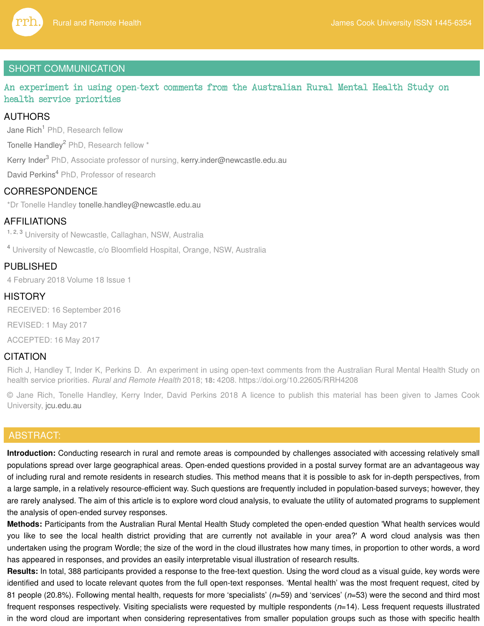

# SHORT COMMUNICATION

An experiment in using open-text comments from the Australian Rural Mental Health Study on health service priorities

# AUTHORS

Jane Rich<sup>1</sup> PhD, Research fellow

Tonelle Handley<sup>2</sup> PhD, Research fellow \*

Kerry Inder<sup>3</sup> PhD, Associate professor of nursing, kerry.inder@newcastle.edu.au

David Perkins<sup>4</sup> PhD, Professor of research

# **CORRESPONDENCE**

\*Dr Tonelle Handley tonelle.handley@newcastle.edu.au

# AFFILIATIONS

<sup>1, 2, 3</sup> University of Newcastle, Callaghan, NSW, Australia

<sup>4</sup> University of Newcastle, c/o Bloomfield Hospital, Orange, NSW, Australia

# PUBLISHED

4 February 2018 Volume 18 Issue 1

# **HISTORY**

RECEIVED: 16 September 2016

REVISED: 1 May 2017

ACCEPTED: 16 May 2017

# **CITATION**

Rich J, Handley T, Inder K, Perkins D. An experiment in using open-text comments from the Australian Rural Mental Health Study on health service priorities. Rural and Remote Health 2018; **18:** 4208. https://doi.org/10.22605/RRH4208

© Jane Rich, Tonelle Handley, Kerry Inder, David Perkins 2018 A licence to publish this material has been given to James Cook University, jcu.edu.au

# ABSTRACT:

**Introduction:** Conducting research in rural and remote areas is compounded by challenges associated with accessing relatively small populations spread over large geographical areas. Open-ended questions provided in a postal survey format are an advantageous way of including rural and remote residents in research studies. This method means that it is possible to ask for in-depth perspectives, from a large sample, in a relatively resource-efficient way. Such questions are frequently included in population-based surveys; however, they are rarely analysed. The aim of this article is to explore word cloud analysis, to evaluate the utility of automated programs to supplement the analysis of open-ended survey responses.

**Methods:** Participants from the Australian Rural Mental Health Study completed the open-ended question 'What health services would you like to see the local health district providing that are currently not available in your area?' A word cloud analysis was then undertaken using the program Wordle; the size of the word in the cloud illustrates how many times, in proportion to other words, a word has appeared in responses, and provides an easily interpretable visual illustration of research results.

**Results:** In total, 388 participants provided a response to the free-text question. Using the word cloud as a visual guide, key words were identified and used to locate relevant quotes from the full open-text responses. 'Mental health' was the most frequent request, cited by 81 people (20.8%). Following mental health, requests for more 'specialists'  $(n=59)$  and 'services'  $(n=53)$  were the second and third most frequent responses respectively. Visiting specialists were requested by multiple respondents  $(n=14)$ . Less frequent requests illustrated in the word cloud are important when considering representatives from smaller population groups such as those with specific health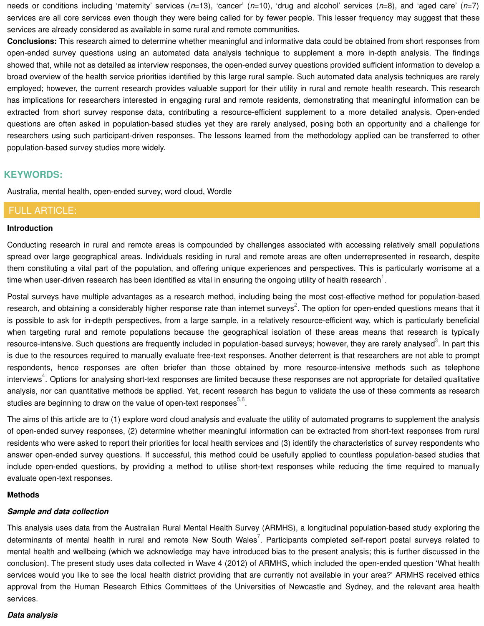needs or conditions including 'maternity' services  $(n=13)$ , 'cancer'  $(n=10)$ , 'drug and alcohol' services  $(n=8)$ , and 'aged care'  $(n=7)$ services are all core services even though they were being called for by fewer people. This lesser frequency may suggest that these services are already considered as available in some rural and remote communities.

**Conclusions:** This research aimed to determine whether meaningful and informative data could be obtained from short responses from open-ended survey questions using an automated data analysis technique to supplement a more in-depth analysis. The findings showed that, while not as detailed as interview responses, the open-ended survey questions provided sufficient information to develop a broad overview of the health service priorities identified by this large rural sample. Such automated data analysis techniques are rarely employed; however, the current research provides valuable support for their utility in rural and remote health research. This research has implications for researchers interested in engaging rural and remote residents, demonstrating that meaningful information can be extracted from short survey response data, contributing a resource-efficient supplement to a more detailed analysis. Open-ended questions are often asked in population-based studies yet they are rarely analysed, posing both an opportunity and a challenge for researchers using such participant-driven responses. The lessons learned from the methodology applied can be transferred to other population-based survey studies more widely.

# **KEYWORDS:**

Australia, mental health, open-ended survey, word cloud, Wordle

## FULL ARTICLE:

#### **Introduction**

Conducting research in rural and remote areas is compounded by challenges associated with accessing relatively small populations spread over large geographical areas. Individuals residing in rural and remote areas are often underrepresented in research, despite them constituting a vital part of the population, and offering unique experiences and perspectives. This is particularly worrisome at a time when user-driven research has been identified as vital in ensuring the ongoing utility of health research  $^1$ .

Postal surveys have multiple advantages as a research method, including being the most cost-effective method for population-based research, and obtaining a considerably higher response rate than internet surveys<sup>2</sup>. The option for open-ended questions means that it is possible to ask for in-depth perspectives, from a large sample, in a relatively resource-efficient way, which is particularly beneficial when targeting rural and remote populations because the geographical isolation of these areas means that research is typically resource-intensive. Such questions are frequently included in population-based surveys; however, they are rarely analysed<sup>3</sup>. In part this is due to the resources required to manually evaluate free-text responses. Another deterrent is that researchers are not able to prompt respondents, hence responses are often briefer than those obtained by more resource-intensive methods such as telephone interviews<sup>4</sup>. Options for analysing short-text responses are limited because these responses are not appropriate for detailed qualitative analysis, nor can quantitative methods be applied. Yet, recent research has begun to validate the use of these comments as research studies are beginning to draw on the value of open-text responses $^{5,6}$ .

The aims of this article are to (1) explore word cloud analysis and evaluate the utility of automated programs to supplement the analysis of open-ended survey responses, (2) determine whether meaningful information can be extracted from short-text responses from rural residents who were asked to report their priorities for local health services and (3) identify the characteristics of survey respondents who answer open-ended survey questions. If successful, this method could be usefully applied to countless population-based studies that include open-ended questions, by providing a method to utilise short-text responses while reducing the time required to manually evaluate open-text responses.

#### **Methods**

### **Sample and data collection**

This analysis uses data from the Australian Rural Mental Health Survey (ARMHS), a longitudinal population-based study exploring the determinants of mental health in rural and remote New South Wales<sup>7</sup>. Participants completed self-report postal surveys related to mental health and wellbeing (which we acknowledge may have introduced bias to the present analysis; this is further discussed in the conclusion). The present study uses data collected in Wave 4 (2012) of ARMHS, which included the open-ended question 'What health services would you like to see the local health district providing that are currently not available in your area?' ARMHS received ethics approval from the Human Research Ethics Committees of the Universities of Newcastle and Sydney, and the relevant area health services.

### **Data analysis**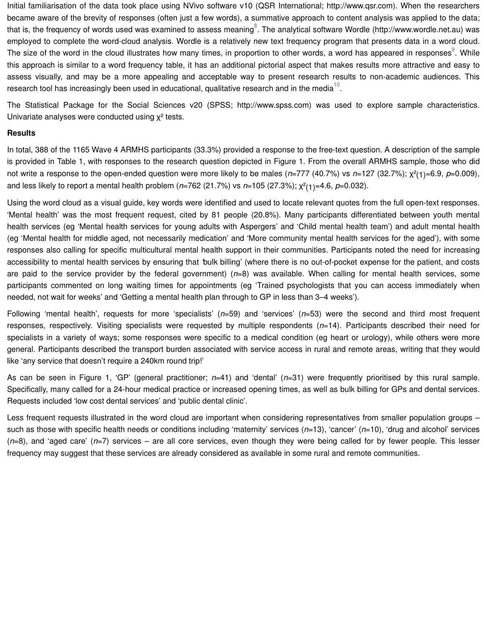Initial familiarisation of the data took place using NVivo software v10 (QSR International; http://www.qsr.com). When the researchers became aware of the brevity of responses (often just a few words), a summative approach to content analysis was applied to the data; that is, the frequency of words used was examined to assess meaning<sup>8</sup>. The analytical software Wordle (http://www.wordle.net.au) was employed to complete the word-cloud analysis. Wordle is a relatively new text frequency program that presents data in a word cloud. The size of the word in the cloud illustrates how many times, in proportion to other words, a word has appeared in responses $^\circ$ . While this approach is similar to a word frequency table, it has an additional pictorial aspect that makes results more attractive and easy to assess visually, and may be a more appealing and acceptable way to present research results to non-academic audiences. This research tool has increasingly been used in educational, qualitative research and in the media<sup>10</sup>.

The Statistical Package for the Social Sciences v20 (SPSS; http://www.spss.com) was used to explore sample characteristics. Univariate analyses were conducted using  $\chi^2$  tests.

#### **Results**

In total, 388 of the 1165 Wave 4 ARMHS participants (33.3%) provided a response to the free-text question. A description of the sample is provided in Table 1, with responses to the research question depicted in Figure 1. From the overall ARMHS sample, those who did not write a response to the open-ended question were more likely to be males ( $n=777$  (40.7%) vs  $n=127$  (32.7%);  $\chi^2(1)=6.9$ ,  $p=0.009$ ), and less likely to report a mental health problem ( $n=762$  (21.7%) vs  $n=105$  (27.3%);  $\chi^2(1)=4.6$ ,  $p=0.032$ ).

Using the word cloud as a visual guide, key words were identified and used to locate relevant quotes from the full open-text responses. 'Mental health' was the most frequent request, cited by 81 people (20.8%). Many participants differentiated between youth mental health services (eg 'Mental health services for young adults with Aspergers' and 'Child mental health team') and adult mental health (eg 'Mental health for middle aged, not necessarily medication' and 'More community mental health services for the aged'), with some responses also calling for specific multicultural mental health support in their communities. Participants noted the need for increasing accessibility to mental health services by ensuring that 'bulk billing' (where there is no out-of-pocket expense for the patient, and costs are paid to the service provider by the federal government)  $(n=8)$  was available. When calling for mental health services, some participants commented on long waiting times for appointments (eg 'Trained psychologists that you can access immediately when needed, not wait for weeks' and 'Getting a mental health plan through to GP in less than 3–4 weeks').

Following 'mental health', requests for more 'specialists'  $(n=59)$  and 'services'  $(n=53)$  were the second and third most frequent responses, respectively. Visiting specialists were requested by multiple respondents  $(n=14)$ . Participants described their need for specialists in a variety of ways; some responses were specific to a medical condition (eg heart or urology), while others were more general. Participants described the transport burden associated with service access in rural and remote areas, writing that they would like 'any service that doesn't require a 240km round trip!'

As can be seen in Figure 1, 'GP' (general practitioner;  $n=41$ ) and 'dental' ( $n=31$ ) were frequently prioritised by this rural sample. Specifically, many called for a 24-hour medical practice or increased opening times, as well as bulk billing for GPs and dental services. Requests included 'low cost dental services' and 'public dental clinic'.

Less frequent requests illustrated in the word cloud are important when considering representatives from smaller population groups such as those with specific health needs or conditions including 'maternity' services  $(n=13)$ , 'cancer'  $(n=10)$ , 'drug and alcohol' services  $(n=8)$ , and 'aged care'  $(n=7)$  services – are all core services, even though they were being called for by fewer people. This lesser frequency may suggest that these services are already considered as available in some rural and remote communities.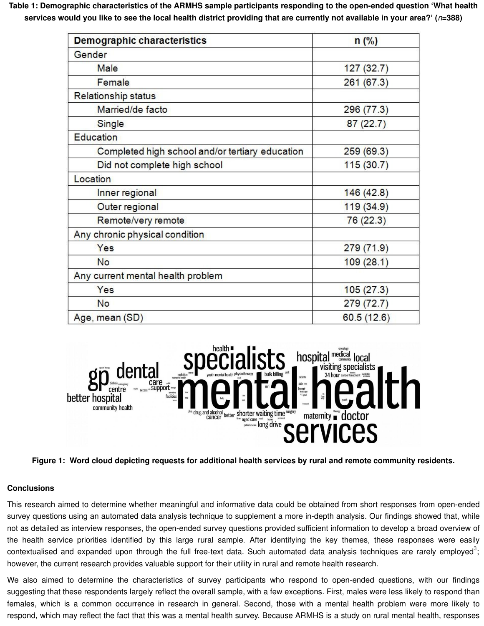**Table 1: Demographic characteristics of the ARMHS sample participants responding to the open-ended question 'What health services would you like to see the local health district providing that are currently not available in your area?' (**n**=388)**

| <b>Demographic characteristics</b>              | n(%)       |
|-------------------------------------------------|------------|
| Gender                                          |            |
| Male                                            | 127(32.7)  |
| Female                                          | 261 (67.3) |
| Relationship status                             |            |
| Married/de facto                                | 296 (77.3) |
| Single                                          | 87(22.7)   |
| Education                                       |            |
| Completed high school and/or tertiary education | 259(69.3)  |
| Did not complete high school                    | 115(30.7)  |
| Location                                        |            |
| Inner regional                                  | 146(42.8)  |
| Outer regional                                  | 119(34.9)  |
| Remote/very remote                              | 76(22.3)   |
| Any chronic physical condition                  |            |
| Yes                                             | 279(71.9)  |
| <b>No</b>                                       | 109(28.1)  |
| Any current mental health problem               |            |
| Yes                                             | 105(27.3)  |
| <b>No</b>                                       | 279 (72.7) |
| Age, mean (SD)                                  | 60.5(12.6) |



**Figure 1: Word cloud depicting requests for additional health services by rural and remote community residents.**

### **Conclusions**

This research aimed to determine whether meaningful and informative data could be obtained from short responses from open-ended survey questions using an automated data analysis technique to supplement a more in-depth analysis. Our findings showed that, while not as detailed as interview responses, the open-ended survey questions provided sufficient information to develop a broad overview of the health service priorities identified by this large rural sample. After identifying the key themes, these responses were easily contextualised and expanded upon through the full free-text data. Such automated data analysis techniques are rarely employed<sup>3</sup>; however, the current research provides valuable support for their utility in rural and remote health research.

We also aimed to determine the characteristics of survey participants who respond to open-ended questions, with our findings suggesting that these respondents largely reflect the overall sample, with a few exceptions. First, males were less likely to respond than females, which is a common occurrence in research in general. Second, those with a mental health problem were more likely to respond, which may reflect the fact that this was a mental health survey. Because ARMHS is a study on rural mental health, responses